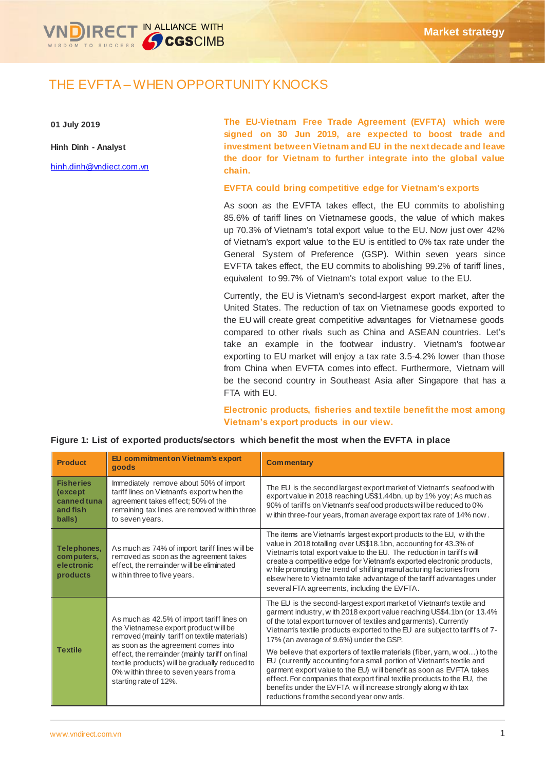

# THE EVFTA – WHEN OPPORTUNITY KNOCKS

**01 July 2019**

**Hinh Dinh - Analyst**

[hinh.dinh@vndiect.com.vn](mailto:hinh.dinh@vndiect.com.vn)

**The EU-Vietnam Free Trade Agreement (EVFTA) which were signed on 30 Jun 2019, are expected to boost trade and investment between Vietnam and EU in the next decade and leave the door for Vietnam to further integrate into the global value chain.**

### **EVFTA could bring competitive edge for Vietnam's exports**

As soon as the EVFTA takes effect, the EU commits to abolishing 85.6% of tariff lines on Vietnamese goods, the value of which makes up 70.3% of Vietnam's total export value to the EU. Now just over 42% of Vietnam's export value to the EU is entitled to 0% tax rate under the General System of Preference (GSP). Within seven years since EVFTA takes effect, the EU commits to abolishing 99.2% of tariff lines, equivalent to 99.7% of Vietnam's total export value to the EU.

Currently, the EU is Vietnam's second-largest export market, after the United States. The reduction of tax on Vietnamese goods exported to the EU will create great competitive advantages for Vietnamese goods compared to other rivals such as China and ASEAN countries. Let's take an example in the footwear industry. Vietnam's footwear exporting to EU market will enjoy a tax rate 3.5-4.2% lower than those from China when EVFTA comes into effect. Furthermore, Vietnam will be the second country in Southeast Asia after Singapore that has a FTA with EU.

**Electronic products, fisheries and textile benefit the most among Vietnam's export products in our view.** 

| <b>Product</b>                                                    | EU commitment on Vietnam's export<br>goods                                                                                                                                                                                                                                                                                                       | <b>Commentary</b>                                                                                                                                                                                                                                                                                                                                                                                                                                                                                                                                                                                                                                                                                                                                                   |
|-------------------------------------------------------------------|--------------------------------------------------------------------------------------------------------------------------------------------------------------------------------------------------------------------------------------------------------------------------------------------------------------------------------------------------|---------------------------------------------------------------------------------------------------------------------------------------------------------------------------------------------------------------------------------------------------------------------------------------------------------------------------------------------------------------------------------------------------------------------------------------------------------------------------------------------------------------------------------------------------------------------------------------------------------------------------------------------------------------------------------------------------------------------------------------------------------------------|
| <b>Fisheries</b><br>(except)<br>canned tuna<br>and fish<br>balls) | Immediately remove about 50% of import<br>tariff lines on Vietnam's export when the<br>agreement takes effect; 50% of the<br>remaining tax lines are removed within three<br>to seven years.                                                                                                                                                     | The EU is the second largest export market of Vietnam's seafood with<br>export value in 2018 reaching US\$1.44bn, up by 1% yoy; As much as<br>90% of tariffs on Vietnam's seafood products will be reduced to 0%<br>within three-four years, from an average export tax rate of 14% now.                                                                                                                                                                                                                                                                                                                                                                                                                                                                            |
| Telephones,<br>computers,<br>electronic<br>products               | As much as 74% of import tariff lines will be<br>removed as soon as the agreement takes<br>effect, the remainder w ill be eliminated<br>w ithin three to five years.                                                                                                                                                                             | The items are Vietnam's largest export products to the EU, with the<br>value in 2018 totalling over US\$18.1bn, accounting for 43.3% of<br>Vietnam's total export value to the EU. The reduction in tariffs will<br>create a competitive edge for Vietnam's exported electronic products,<br>while promoting the trend of shifting manufacturing factories from<br>elsew here to Vietnam to take advantage of the tariff advantages under<br>several FTA agreements, including the EVFTA.                                                                                                                                                                                                                                                                           |
| <b>Textile</b>                                                    | As much as 42.5% of import tariff lines on<br>the Vietnamese export product will be<br>removed (mainly tariff on textile materials)<br>as soon as the agreement comes into<br>effect, the remainder (mainly tariff on final<br>textile products) will be gradually reduced to<br>0% w ithin three to seven years from a<br>starting rate of 12%. | The EU is the second-largest export market of Vietnam's textile and<br>garment industry, w ith 2018 export value reaching US\$4.1bn (or 13.4%<br>of the total export turnover of textiles and garments). Currently<br>Vietnam's textile products exported to the EU are subject to tariffs of 7-<br>17% (an average of 9.6%) under the GSP.<br>We believe that exporters of textile materials (fiber, yarn, w ool) to the<br>EU (currently accounting for a small portion of Vietnam's textile and<br>garment export value to the EU) will benefit as soon as EVFTA takes<br>effect. For companies that export final textile products to the EU, the<br>benefits under the EVFTA will increase strongly along with tax<br>reductions from the second year onw ards. |

**Figure 1: List of exported products/sectors which benefit the most when the EVFTA in place**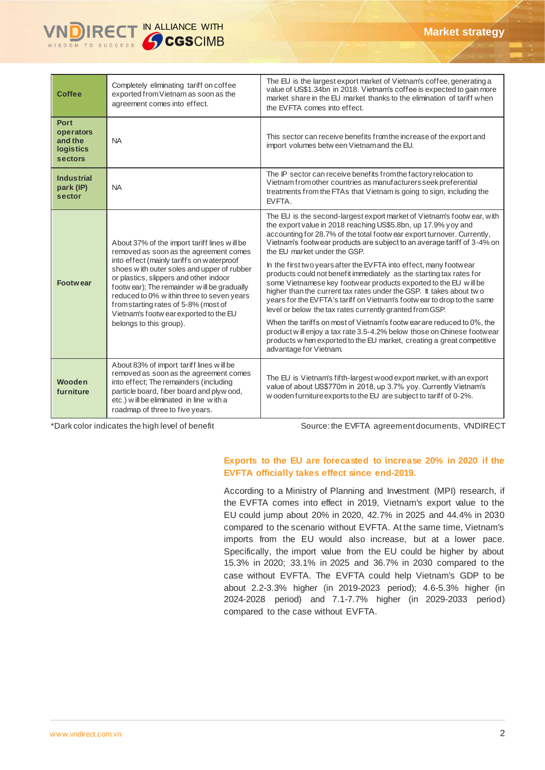

| <b>Coffee</b>                                                             | Completely eliminating tariff on coffee<br>exported from Vietnam as soon as the<br>agreement comes into effect.                                                                                                                                                                                                                                                                                                                      | The EU is the largest export market of Vietnam's coffee, generating a<br>value of US\$1.34bn in 2018. Vietnam's coffee is expected to gain more<br>market share in the EU market thanks to the elimination of tariff when<br>the EVFTA comes into effect.                                                                                                                                                                                                                   |  |
|---------------------------------------------------------------------------|--------------------------------------------------------------------------------------------------------------------------------------------------------------------------------------------------------------------------------------------------------------------------------------------------------------------------------------------------------------------------------------------------------------------------------------|-----------------------------------------------------------------------------------------------------------------------------------------------------------------------------------------------------------------------------------------------------------------------------------------------------------------------------------------------------------------------------------------------------------------------------------------------------------------------------|--|
| <b>Port</b><br>operators<br>and the<br><b>logistics</b><br><b>sectors</b> | <b>NA</b>                                                                                                                                                                                                                                                                                                                                                                                                                            | This sector can receive benefits from the increase of the export and<br>import volumes betw een Vietnam and the EU.                                                                                                                                                                                                                                                                                                                                                         |  |
| <b>Industrial</b><br>park (IP)<br>sector                                  | <b>NA</b>                                                                                                                                                                                                                                                                                                                                                                                                                            | The IP sector can receive benefits from the factory relocation to<br>Vietnam from other countries as manufacturers seek preferential<br>treatments from the FTAs that Vietnam is going to sign, including the<br>EVFTA.                                                                                                                                                                                                                                                     |  |
| <b>Footwear</b>                                                           | About 37% of the import tariff lines will be<br>removed as soon as the agreement comes<br>into effect (mainly tariffs on waterproof<br>shoes with outer soles and upper of rubber<br>or plastics, slippers and other indoor<br>footwear); The remainder will be gradually<br>reduced to 0% w ithin three to seven years<br>from starting rates of 5-8% (most of<br>Vietnam's footw ear exported to the EU<br>belongs to this group). | The EU is the second-largest export market of Vietnam's footw ear, with<br>the export value in 2018 reaching US\$5.8bn, up 17.9% yoy and<br>accounting for 28.7% of the total footw ear export turnover. Currently,<br>Vietnam's footwear products are subject to an average tariff of 3-4% on<br>the EU market under the GSP.<br>In the first two years after the EVFTA into effect, many footwear<br>products could not benefit immediately as the starting tax rates for |  |
|                                                                           |                                                                                                                                                                                                                                                                                                                                                                                                                                      | some Vietnamese key footwear products exported to the EU will be<br>higher than the current tax rates under the GSP. It takes about two<br>years for the EVFTA's tariff on Vietnam's footwear to drop to the same<br>level or below the tax rates currently granted from GSP.                                                                                                                                                                                               |  |
|                                                                           |                                                                                                                                                                                                                                                                                                                                                                                                                                      | When the tariffs on most of Vietnam's footw ear are reduced to 0%, the<br>product will enjoy a tax rate 3.5-4.2% below those on Chinese footwear<br>products w hen exported to the EU market, creating a great competitive<br>advantage for Vietnam.                                                                                                                                                                                                                        |  |
| Wooden<br>furniture                                                       | About 83% of import tariff lines will be<br>removed as soon as the agreement comes<br>into effect; The remainders (including<br>particle board, fiber board and plyw ood,<br>etc.) will be eliminated in line with a<br>roadmap of three to five years.                                                                                                                                                                              | The EU is Vietnam's fifth-largest wood export market, with an export<br>value of about US\$770m in 2018, up 3.7% yoy. Currently Vietnam's<br>w ooden furniture exports to the EU are subject to tariff of 0-2%.                                                                                                                                                                                                                                                             |  |

\*Dark color indicates the high level of benefit Source: the EVFTA agreement documents, VNDIRECT

## **Exports to the EU are forecasted to increase 20% in 2020 if the EVFTA officially takes effect since end-2019.**

According to a Ministry of Planning and Investment (MPI) research, if the EVFTA comes into effect in 2019, Vietnam's export value to the EU could jump about 20% in 2020, 42.7% in 2025 and 44.4% in 2030 compared to the scenario without EVFTA. At the same time, Vietnam's imports from the EU would also increase, but at a lower pace. Specifically, the import value from the EU could be higher by about 15.3% in 2020; 33.1% in 2025 and 36.7% in 2030 compared to the case without EVFTA. The EVFTA could help Vietnam's GDP to be about 2.2-3.3% higher (in 2019-2023 period); 4.6-5.3% higher (in 2024-2028 period) and 7.1-7.7% higher (in 2029-2033 period) compared to the case without EVFTA.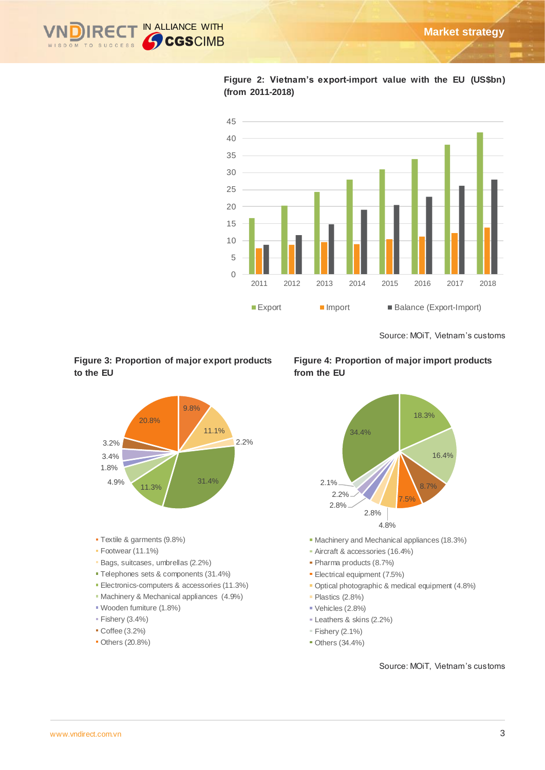



**Figure 2: Vietnam's export-import value with the EU (US\$bn) (from 2011-2018)**

Source: MOiT, Vietnam's customs

# **Figure 3: Proportion of major export products to the EU**



**Figure 4: Proportion of major import products from the EU**



- Machinery and Mechanical appliances (18.3%)
- Aircraft & accessories (16.4%)
- Pharma products (8.7%)
- **Electrical equipment (7.5%)**
- Optical photographic & medical equipment (4.8%)
- Plastics (2.8%)
- Vehicles (2.8%)
- Leathers & skins (2.2%)
- $F$  Fishery (2.1%)
- Others (34.4%)

#### Source: MOiT, Vietnam's customs

- Textile & garments (9.8%)
- Footwear (11.1%)
- Bags, suitcases, umbrellas (2.2%)
- Telephones sets & components (31.4%)
- **Electronics-computers & accessories (11.3%)**
- Machinery & Mechanical appliances (4.9%)
- Wooden furniture (1.8%)
- $\blacktriangleright$  Fishery (3.4%)
- Coffee (3.2%)
- Others (20.8%)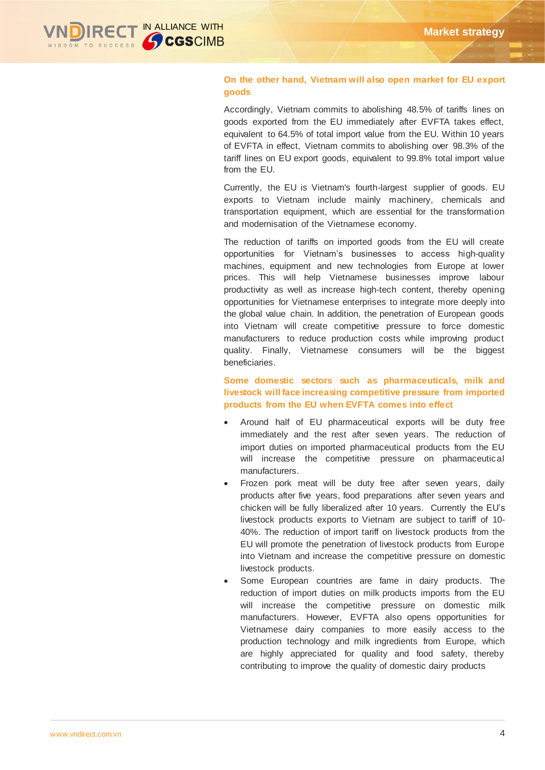

# **On the other hand, Vietnam will also open market for EU export goods**

Accordingly, Vietnam commits to abolishing 48.5% of tariffs lines on goods exported from the EU immediately after EVFTA takes effect, equivalent to 64.5% of total import value from the EU. Within 10 years of EVFTA in effect, Vietnam commits to abolishing over 98.3% of the tariff lines on EU export goods, equivalent to 99.8% total import value from the EU.

Currently, the EU is Vietnam's fourth-largest supplier of goods. EU exports to Vietnam include mainly machinery, chemicals and transportation equipment, which are essential for the transformation and modernisation of the Vietnamese economy.

The reduction of tariffs on imported goods from the EU will create opportunities for Vietnam's businesses to access high-quality machines, equipment and new technologies from Europe at lower prices. This will help Vietnamese businesses improve labour productivity as well as increase high-tech content, thereby opening opportunities for Vietnamese enterprises to integrate more deeply into the global value chain. In addition, the penetration of European goods into Vietnam will create competitive pressure to force domestic manufacturers to reduce production costs while improving product quality. Finally, Vietnamese consumers will be the biggest beneficiaries.

# **Some domestic sectors such as pharmaceuticals, milk and livestock will face increasing competitive pressure from imported products from the EU when EVFTA comes into effect**

- Around half of EU pharmaceutical exports will be duty free immediately and the rest after seven years. The reduction of import duties on imported pharmaceutical products from the EU will increase the competitive pressure on pharmaceutical manufacturers.
- Frozen pork meat will be duty free after seven years, daily products after five years, food preparations after seven years and chicken will be fully liberalized after 10 years. Currently the EU's livestock products exports to Vietnam are subject to tariff of 10- 40%. The reduction of import tariff on livestock products from the EU will promote the penetration of livestock products from Europe into Vietnam and increase the competitive pressure on domestic livestock products.
- Some European countries are fame in dairy products. The reduction of import duties on milk products imports from the EU will increase the competitive pressure on domestic milk manufacturers. However, EVFTA also opens opportunities for Vietnamese dairy companies to more easily access to the production technology and milk ingredients from Europe, which are highly appreciated for quality and food safety, thereby contributing to improve the quality of domestic dairy products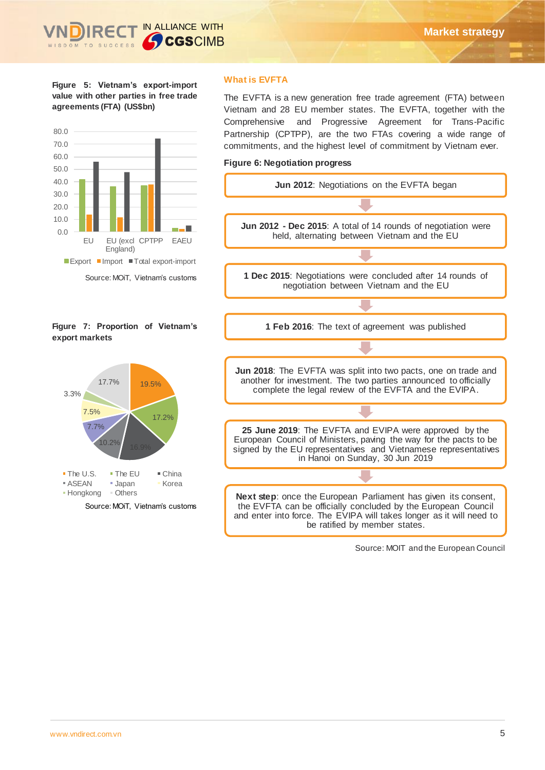**Figure 5: Vietnam's export-import value with other parties in free trade agreements (FTA) (US\$bn)**



# **Figure 7: Proportion of Vietnam's export markets**



# **What is EVFTA**

The EVFTA is a new generation free trade agreement (FTA) between Vietnam and 28 EU member states. The EVFTA, together with the Comprehensive and Progressive Agreement for Trans-Pacific Partnership (CPTPP), are the two FTAs covering a wide range of commitments, and the highest level of commitment by Vietnam ever.

## **Figure 6: Negotiation progress**



Source: MOIT and the European Council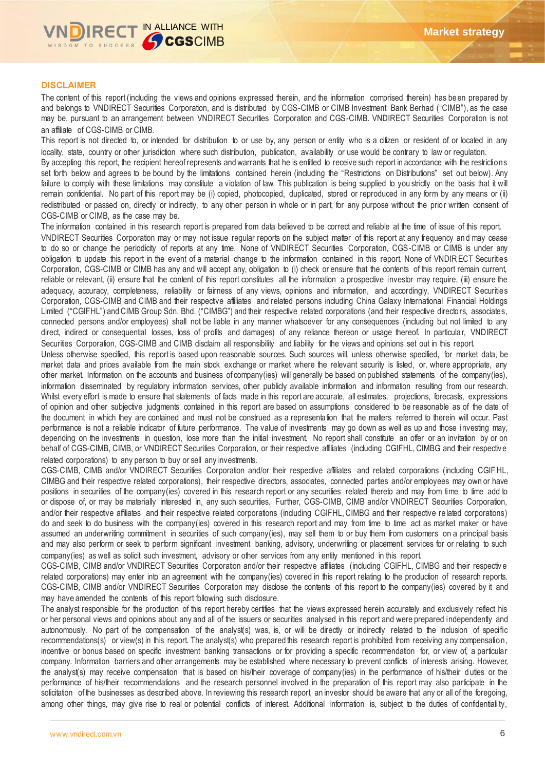

## **DISCLAIMER**

The content of this report (including the views and opinions expressed therein, and the information comprised therein) has been prepared by and belongs to VNDIRECT Securities Corporation, and is distributed by CGS-CIMB or CIMB Investment Bank Berhad ("CIMB"), as the case may be, pursuant to an arrangement between VNDIRECT Securities Corporation and CGS-CIMB. VNDIRECT Securities Corporation is not an affiliate of CGS-CIMB or CIMB.

This report is not directed to, or intended for distribution to or use by, any person or entity who is a citizen or resident of or located in any locality, state, country or other jurisdiction where such distribution, publication, availability or use would be contrary to law or regulation.

By accepting this report, the recipient hereof represents and warrants that he is entitled to receive such report in accordance with the restrictions set forth below and agrees to be bound by the limitations contained herein (including the "Restrictions on Distributions" set out below). Any failure to comply with these limitations may constitute a violation of law. This publication is being supplied to you strictly on the basis that it will remain confidential. No part of this report may be (i) copied, photocopied, duplicated, stored or reproduced in any form by any means or (ii) redistributed or passed on, directly or indirectly, to any other person in whole or in part, for any purpose without the prior written consent of CGS-CIMB or CIMB, as the case may be.

The information contained in this research report is prepared from data believed to be correct and reliable at the time of issue of this report. VNDIRECT Securities Corporation may or may not issue regular reports on the subject matter of this report at any frequency an d may cease to do so or change the periodicity of reports at any time. None of VNDIRECT Securities Corporation, CGS-CIMB or CIMB is under any obligation to update this report in the event of a material change to the information contained in this report. None of VNDIRECT Securities Corporation, CGS-CIMB or CIMB has any and will accept any, obligation to (i) check or ensure that the contents of this report remain current, reliable or relevant, (ii) ensure that the content of this report constitutes all the information a prospective investor may require, (iii) ensure the adequacy, accuracy, completeness, reliability or fairness of any views, opinions and information, and accordingly, VNDIRECT Securities Corporation, CGS-CIMB and CIMB and their respective affiliates and related persons including China Galaxy International Financial Holdings Limited ("CGIFHL") and CIMB Group Sdn. Bhd. ("CIMBG") and their respective related corporations (and their respective directors, associates, connected persons and/or employees) shall not be liable in any manner whatsoever for any consequences (including but not limited to any direct, indirect or consequential losses, loss of profits and damages) of any reliance thereon or usage thereof. In particular, VNDIRECT Securities Corporation, CGS-CIMB and CIMB disclaim all responsibility and liability for the views and opinions set out in this report.

Unless otherwise specified, this report is based upon reasonable sources. Such sources will, unless otherwise specified, for market data, be market data and prices available from the main stock exchange or market where the relevant security is listed, or, where appropriate, any other market. Information on the accounts and business of company(ies) will generally be based on published statements of the company(ies), information disseminated by regulatory information services, other publicly available information and information resulting from our research. Whilst every effort is made to ensure that statements of facts made in this report are accurate, all estimates, projections, forecasts, expressions of opinion and other subjective judgments contained in this report are based on assumptions considered to be reasonable as of the date of the document in which they are contained and must not be construed as a representation that the matters referred to therein will occur. Past performance is not a reliable indicator of future performance. The value of investments may go down as well as up and those investing may, depending on the investments in question, lose more than the initial investment. No report shall constitute an offer or an invitation by or on behalf of CGS-CIMB, CIMB, or VNDIRECT Securities Corporation, or their respective affiliates (including CGIFHL, CIMBG and their respective related corporations) to any person to buy or sell any investments.

CGS-CIMB, CIMB and/or VNDIRECT Securities Corporation and/or their respective affiliates and related corporations (including CGIF HL, CIMBG and their respective related corporations), their respective directors, associates, connected parties and/or employees may own or have positions in securities of the company(ies) covered in this research report or any securities related thereto and may from time to time add to or dispose of, or may be materially interested in, any such securities. Further, CGS-CIMB, CIMB and/or VNDIRECT Securities Corporation, and/or their respective affiliates and their respective related corporations (including CGIFHL, CIMBG and their respective related corporations) do and seek to do business with the company(ies) covered in this research report and may from time to time act as market maker or have assumed an underwriting commitment in securities of such company(ies), may sell them to or buy them from customers on a principal basis and may also perform or seek to perform significant investment banking, advisory, underwriting or placement services for or relating to such company(ies) as well as solicit such investment, advisory or other services from any entity mentioned in this report.

CGS-CIMB, CIMB and/or VNDIRECT Securities Corporation and/or their respective affiliates (including CGIFHL, CIMBG and their respectiv e related corporations) may enter into an agreement with the company(ies) covered in this report relating to the production of research reports. CGS-CIMB, CIMB and/or VNDIRECT Securities Corporation may disclose the contents of this report to the company(ies) covered by it and may have amended the contents of this report following such disclosure.

The analyst responsible for the production of this report hereby certifies that the views expressed herein accurately and exclusively reflect his or her personal views and opinions about any and all of the issuers or securities analysed in this report and were prepared independently and autonomously. No part of the compensation of the analyst(s) was, is, or will be directly or indirectly related to the inclusion of specific recommendations(s) or view(s) in this report. The analyst(s) who prepared this research report is prohibited from receiving any compensation, incentive or bonus based on specific investment banking transactions or for providing a specific recommendation for, or view of, a particular company. Information barriers and other arrangements may be established where necessary to prevent conflicts of interests arising. However, the analyst(s) may receive compensation that is based on his/their coverage of company(ies) in the performance of his/their duties or the performance of his/their recommendations and the research personnel involved in the preparation of this report may also participate in the solicitation of the businesses as described above. In reviewing this research report, an investor should be aware that any or all of the foregoing, among other things, may give rise to real or potential conflicts of interest. Additional information is, subject to the duties of confidentiali ty,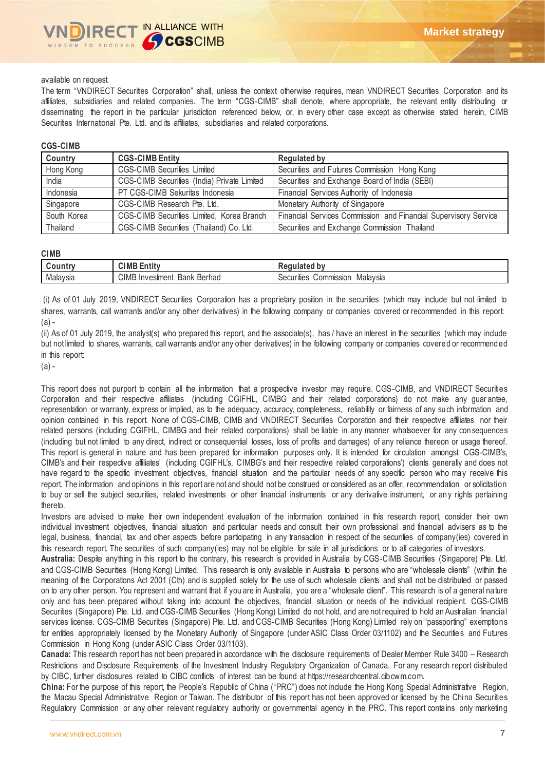

#### available on request.

The term "VNDIRECT Securities Corporation" shall, unless the context otherwise requires, mean VNDIRECT Securities Corporation and its affiliates, subsidiaries and related companies. The term "CGS-CIMB" shall denote, where appropriate, the relevant entity distributing or disseminating the report in the particular jurisdiction referenced below, or, in every other case except as otherwise stated herein, CIMB Securities International Pte. Ltd. and its affiliates, subsidiaries and related corporations.

#### **CGS-CIMB**

| Country     | <b>CGS-CIMB Entity</b>                      | <b>Regulated by</b>                                             |
|-------------|---------------------------------------------|-----------------------------------------------------------------|
| Hong Kong   | <b>CGS-CIMB Securities Limited</b>          | Securities and Futures Commission Hong Kong                     |
| India       | CGS-CIMB Securities (India) Private Limited | Securities and Exchange Board of India (SEBI)                   |
| Indonesia   | PT CGS-CIMB Sekuritas Indonesia             | Financial Services Authority of Indonesia                       |
| Singapore   | CGS-CIMB Research Pte. Ltd.                 | Monetary Authority of Singapore                                 |
| South Korea | CGS-CIMB Securities Limited, Korea Branch   | Financial Services Commission and Financial Supervisory Service |
| Thailand    | CGS-CIMB Securities (Thailand) Co. Ltd.     | Securities and Exchange Commission Thailand                     |

#### **CIMB**

| , , , , , , , | <b>CIMB</b><br>.<br>≂ntit⊾                                           | المتملس والمتنافذ<br>$-$ uuidleu -<br>-    |
|---------------|----------------------------------------------------------------------|--------------------------------------------|
| Malaysia      | <b>CIMB</b><br>Berhad<br>nvestment<br>$\overline{1}$<br>Bank<br>- 11 | Malaysia<br><b>COMMISSION</b><br>ecurities |

(i) As of 01 July 2019, VNDIRECT Securities Corporation has a proprietary position in the securities (which may include but not limited to shares, warrants, call warrants and/or any other derivatives) in the following company or companies covered or recommended in this report:  $(a) -$ 

(ii) As of 01 July 2019, the analyst(s) who prepared this report, and the associate(s), has / have an interest in the securities (which may include but not limited to shares, warrants, call warrants and/or any other derivatives) in the following company or companies covered or recommended in this report:

 $(a) -$ 

This report does not purport to contain all the information that a prospective investor may require. CGS-CIMB, and VNDIRECT Securities Corporation and their respective affiliates (including CGIFHL, CIMBG and their related corporations) do not make any guar antee, representation or warranty, express or implied, as to the adequacy, accuracy, completeness, reliability or fairness of any such information and opinion contained in this report. None of CGS-CIMB, CIMB and VNDIRECT Securities Corporation and their respective affiliates nor their related persons (including CGIFHL, CIMBG and their related corporations) shall be liable in any manner whatsoever for any con sequences (including but not limited to any direct, indirect or consequential losses, loss of profits and damages) of any reliance thereon or usage thereof. This report is general in nature and has been prepared for information purposes only. It is intended for circulation amongst CGS-CIMB's, CIMB's and their respective affiliates' (including CGIFHL's, CIMBG's and their respective related corporations') clients generally and does not have regard to the specific investment objectives, financial situation and the particular needs of any specific person who may receive this report. The information and opinions in this report are not and should not be construed or considered as an offer, recommendation or solicitation to buy or sell the subject securities, related investments or other financial instruments or any derivative instrument, or any rights pertaining thereto.

Investors are advised to make their own independent evaluation of the information contained in this research report, consider their own individual investment objectives, financial situation and particular needs and consult their own professional and financial advisers as to the legal, business, financial, tax and other aspects before participating in any transaction in respect of the securities of company(ies) covered in this research report. The securities of such company(ies) may not be eligible for sale in all jurisdictions or to all categories of investors.

**Australia:** Despite anything in this report to the contrary, this research is provided in Australia by CGS-CIMB Securities (Singapore) Pte. Ltd. and CGS-CIMB Securities (Hong Kong) Limited. This research is only available in Australia to persons who are "wholesale clients" (within the meaning of the Corporations Act 2001 (Cth) and is supplied solely for the use of such wholesale clients and shall not be distributed or passed on to any other person. You represent and warrant that if you are in Australia, you are a "wholesale client". This research is of a general nature only and has been prepared without taking into account the objectives, financial situation or needs of the individual recipient. CGS-CIMB Securities (Singapore) Pte. Ltd. and CGS-CIMB Securities (Hong Kong) Limited do not hold, and are not required to hold an Australian financial services license. CGS-CIMB Securities (Singapore) Pte. Ltd. and CGS-CIMB Securities (Hong Kong) Limited rely on "passporting" exemptions for entities appropriately licensed by the Monetary Authority of Singapore (under ASIC Class Order 03/1102) and the Securities and Futures Commission in Hong Kong (under ASIC Class Order 03/1103).

**Canada:** This research report has not been prepared in accordance with the disclosure requirements of Dealer Member Rule 3400 – Research Restrictions and Disclosure Requirements of the Investment Industry Regulatory Organization of Canada. For any research report distributed by CIBC, further disclosures related to CIBC conflicts of interest can be found at https://researchcentral.cibcwm.com.

**China:** For the purpose of this report, the People's Republic of China ("PRC") does not include the Hong Kong Special Administrative Region, the Macau Special Administrative Region or Taiwan. The distributor of this report has not been approved or licensed by the China Securities Regulatory Commission or any other relevant regulatory authority or governmental agency in the PRC. This report conta ins only marketing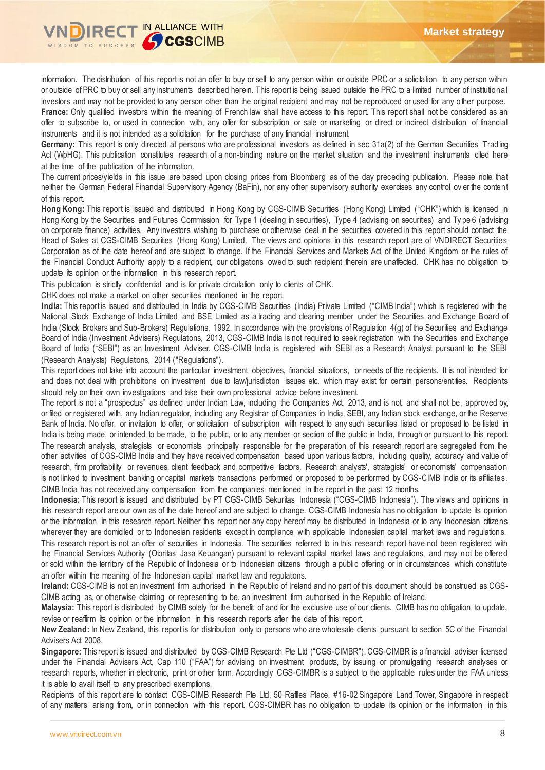

information. The distribution of this report is not an offer to buy or sell to any person within or outside PRC or a solicitation to any person within or outside of PRC to buy or sell any instruments described herein. This report is being issued outside the PRC to a limited number of institutional investors and may not be provided to any person other than the original recipient and may not be reproduced or used for any o ther purpose. **France:** Only qualified investors within the meaning of French law shall have access to this report. This report shall not be considered as an offer to subscribe to, or used in connection with, any offer for subscription or sale or marketing or direct or indirect distribution of financial instruments and it is not intended as a solicitation for the purchase of any financial instrument.

Germany: This report is only directed at persons who are professional investors as defined in sec 31a(2) of the German Securities Trading Act (WpHG). This publication constitutes research of a non-binding nature on the market situation and the investment instruments cited here at the time of the publication of the information.

The current prices/yields in this issue are based upon closing prices from Bloomberg as of the day preceding publication. Please note that neither the German Federal Financial Supervisory Agency (BaFin), nor any other supervisory authority exercises any control ov er the content of this report.

**Hong Kong:** This report is issued and distributed in Hong Kong by CGS-CIMB Securities (Hong Kong) Limited ("CHK") which is licensed in Hong Kong by the Securities and Futures Commission for Type 1 (dealing in securities), Type 4 (advising on securities) and Type 6 (advising on corporate finance) activities. Any investors wishing to purchase or otherwise deal in the securities covered in this report should contact the Head of Sales at CGS-CIMB Securities (Hong Kong) Limited. The views and opinions in this research report are of VNDIRECT Securities Corporation as of the date hereof and are subject to change. If the Financial Services and Markets Act of the United Kingdom or the rules of the Financial Conduct Authority apply to a recipient, our obligations owed to such recipient therein are unaffected. CHK has no obligation to update its opinion or the information in this research report.

This publication is strictly confidential and is for private circulation only to clients of CHK.

CHK does not make a market on other securities mentioned in the report.

India: This report is issued and distributed in India by CGS-CIMB Securities (India) Private Limited ("CIMB India") which is registered with the National Stock Exchange of India Limited and BSE Limited as a trading and clearing member under the Securities and Exchange Board of India (Stock Brokers and Sub-Brokers) Regulations, 1992. In accordance with the provisions of Regulation 4(g) of the Securities and Exchange Board of India (Investment Advisers) Regulations, 2013, CGS-CIMB India is not required to seek registration with the Securities and Exchange Board of India ("SEBI") as an Investment Adviser. CGS-CIMB India is registered with SEBI as a Research Analyst pursuant to the SEBI (Research Analysts) Regulations, 2014 ("Regulations").

This report does not take into account the particular investment objectives, financial situations, or needs of the recipients. It is not intended for and does not deal with prohibitions on investment due to law/jurisdiction issues etc. which may exist for certain persons/entities. Recipients should rely on their own investigations and take their own professional advice before investment.

The report is not a "prospectus" as defined under Indian Law, including the Companies Act, 2013, and is not, and shall not be , approved by, or filed or registered with, any Indian regulator, including any Registrar of Companies in India, SEBI, any Indian stock exchange, or the Reserve Bank of India. No offer, or invitation to offer, or solicitation of subscription with respect to any such securities listed or proposed to be listed in India is being made, or intended to be made, to the public, or to any member or section of the public in India, through or pursuant to this report. The research analysts, strategists or economists principally responsible for the preparation of this research report are segregated from the other activities of CGS-CIMB India and they have received compensation based upon various factors, including quality, accuracy and value of research, firm profitability or revenues, client feedback and competitive factors. Research analysts', strategists' or economists' compensation is not linked to investment banking or capital markets transactions performed or proposed to be performed by CGS-CIMB India or its affiliates. CIMB India has not received any compensation from the companies mentioned in the report in the past 12 months.

**Indonesia:** This report is issued and distributed by PT CGS-CIMB Sekuritas Indonesia ("CGS-CIMB Indonesia"). The views and opinions in this research report are our own as of the date hereof and are subject to change. CGS-CIMB Indonesia has no obligation to update its opinion or the information in this research report. Neither this report nor any copy hereof may be distributed in Indonesia or to any Indonesian citizens wherever they are domiciled or to Indonesian residents except in compliance with applicable Indonesian capital market laws and regulations. This research report is not an offer of securities in Indonesia. The securities referred to in this research report have not been registered with the Financial Services Authority (Otoritas Jasa Keuangan) pursuant to relevant capital market laws and regulations, and may not be offered or sold within the territory of the Republic of Indonesia or to Indonesian citizens through a public offering or in circumstances which constitute an offer within the meaning of the Indonesian capital market law and regulations.

**Ireland:** CGS-CIMB is not an investment firm authorised in the Republic of Ireland and no part of this document should be construed as CGS-CIMB acting as, or otherwise claiming or representing to be, an investment firm authorised in the Republic of Ireland.

**Malaysia:** This report is distributed by CIMB solely for the benefit of and for the exclusive use of our clients. CIMB has no obligation to update, revise or reaffirm its opinion or the information in this research reports after the date of this report.

**New Zealand:** In New Zealand, this report is for distribution only to persons who are wholesale clients pursuant to section 5C of the Financial Advisers Act 2008.

**Singapore:** This report is issued and distributed by CGS-CIMB Research Pte Ltd ("CGS-CIMBR"). CGS-CIMBR is a financial adviser licensed under the Financial Advisers Act, Cap 110 ("FAA") for advising on investment products, by issuing or promulgating research analyses or research reports, whether in electronic, print or other form. Accordingly CGS-CIMBR is a subject to the applicable rules under the FAA unless it is able to avail itself to any prescribed exemptions.

Recipients of this report are to contact CGS-CIMB Research Pte Ltd, 50 Raffles Place, #16-02 Singapore Land Tower, Singapore in respect of any matters arising from, or in connection with this report. CGS-CIMBR has no obligation to update its opinion or the information in this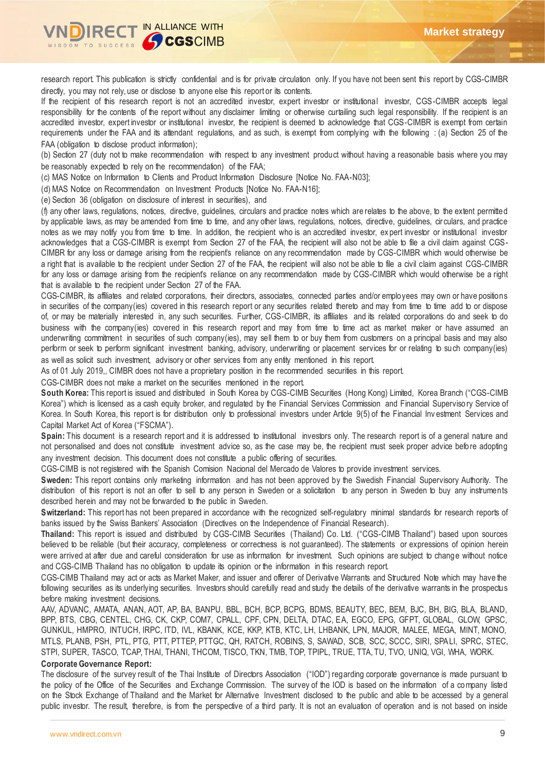

research report. This publication is strictly confidential and is for private circulation only. If you have not been sent this report by CGS-CIMBR directly, you may not rely, use or disclose to anyone else this report or its contents.

If the recipient of this research report is not an accredited investor, expert investor or institutional investor, CGS-CIMBR accepts legal responsibility for the contents of the report without any disclaimer limiting or otherwise curtailing such legal responsibility. If the recipient is an accredited investor, expert investor or institutional investor, the recipient is deemed to acknowledge that CGS-CIMBR is exempt from certain requirements under the FAA and its attendant regulations, and as such, is exempt from complying with the following : (a) Section 25 of the FAA (obligation to disclose product information);

(b) Section 27 (duty not to make recommendation with respect to any investment product without having a reasonable basis where you may be reasonably expected to rely on the recommendation) of the FAA;

(c) MAS Notice on Information to Clients and Product Information Disclosure [Notice No. FAA-N03];

(d) MAS Notice on Recommendation on Investment Products [Notice No. FAA-N16];

(e) Section 36 (obligation on disclosure of interest in securities), and

(f) any other laws, regulations, notices, directive, guidelines, circulars and practice notes which are relates to the above, to the extent permitted by applicable laws, as may be amended from time to time, and any other laws, regulations, notices, directive, guidelines, cir culars, and practice notes as we may notify you from time to time. In addition, the recipient who is an accredited investor, ex pert investor or institutional investor acknowledges that a CGS-CIMBR is exempt from Section 27 of the FAA, the recipient will also not be able to file a civil claim against CGS-CIMBR for any loss or damage arising from the recipient's reliance on any recommendation made by CGS-CIMBR which would otherwise be a right that is available to the recipient under Section 27 of the FAA, the recipient will also not be able to file a civil claim against CGS-CIMBR for any loss or damage arising from the recipient's reliance on any recommendation made by CGS-CIMBR which would otherwise be a right that is available to the recipient under Section 27 of the FAA.

CGS-CIMBR, its affiliates and related corporations, their directors, associates, connected parties and/or employees may own or have positions in securities of the company(ies) covered in this research report or any securities related thereto and may from time to time add to or dispose of, or may be materially interested in, any such securities. Further, CGS-CIMBR, its affiliates and its related corporations do and seek to do business with the company(ies) covered in this research report and may from time to time act as market maker or have assumed an underwriting commitment in securities of such company(ies), may sell them to or buy them from customers on a principal basis and may also perform or seek to perform significant investment banking, advisory, underwriting or placement services for or relating to such company(ies) as well as solicit such investment, advisory or other services from any entity mentioned in this report.

As of 01 July 2019,, CIMBR does not have a proprietary position in the recommended securities in this report.

CGS-CIMBR does not make a market on the securities mentioned in the report.

**South Korea:** This report is issued and distributed in South Korea by CGS-CIMB Securities (Hong Kong) Limited, Korea Branch ("CGS-CIMB Korea") which is licensed as a cash equity broker, and regulated by the Financial Services Commission and Financial Supervisory Service of Korea. In South Korea, this report is for distribution only to professional investors under Article 9(5) of the Financial Inv estment Services and Capital Market Act of Korea ("FSCMA").

**Spain:** This document is a research report and it is addressed to institutional investors only. The research report is of a general nature and not personalised and does not constitute investment advice so, as the case may be, the recipient must seek proper advice before adopting any investment decision. This document does not constitute a public offering of securities.

CGS-CIMB is not registered with the Spanish Comision Nacional del Mercado de Valores to provide investment services.

**Sweden:** This report contains only marketing information and has not been approved by the Swedish Financial Supervisory Authority. The distribution of this report is not an offer to sell to any person in Sweden or a solicitation to any person in Sweden to buy any instruments described herein and may not be forwarded to the public in Sweden.

Switzerland: This report has not been prepared in accordance with the recognized self-regulatory minimal standards for research reports of banks issued by the Swiss Bankers' Association (Directives on the Independence of Financial Research).

**Thailand:** This report is issued and distributed by CGS-CIMB Securities (Thailand) Co. Ltd. ("CGS-CIMB Thailand") based upon sources believed to be reliable (but their accuracy, completeness or correctness is not guaranteed). The statements or expressions of opinion herein were arrived at after due and careful consideration for use as information for investment. Such opinions are subject to change without notice and CGS-CIMB Thailand has no obligation to update its opinion or the information in this research report.

CGS-CIMB Thailand may act or acts as Market Maker, and issuer and offerer of Derivative Warrants and Structured Note which may have the following securities as its underlying securities. Investors should carefully read and study the details of the derivative warrants in the prospectus before making investment decisions.

AAV, ADVANC, AMATA, ANAN, AOT, AP, BA, BANPU, BBL, BCH, BCP, BCPG, BDMS, BEAUTY, BEC, BEM, BJC, BH, BIG, BLA, BLAND, BPP, BTS, CBG, CENTEL, CHG, CK, CKP, COM7, CPALL, CPF, CPN, DELTA, DTAC, EA, EGCO, EPG, GFPT, GLOBAL, GLOW, GPSC, GUNKUL, HMPRO, INTUCH, IRPC, ITD, IVL, KBANK, KCE, KKP, KTB, KTC, LH, LHBANK, LPN, MAJOR, MALEE, MEGA, MINT, MONO, MTLS, PLANB, PSH, PTL, PTG, PTT, PTTEP, PTTGC, QH, RATCH, ROBINS, S, SAWAD, SCB, SCC, SCCC, SIRI, SPALI, SPRC, STEC, STPI, SUPER, TASCO, TCAP, THAI, THANI, THCOM, TISCO, TKN, TMB, TOP, TPIPL, TRUE, TTA, TU, TVO, UNIQ, VGI, WHA, WORK.

### **Corporate Governance Report:**

The disclosure of the survey result of the Thai Institute of Directors Association ("IOD") regarding corporate governance is made pursuant to the policy of the Office of the Securities and Exchange Commission. The survey of the IOD is based on the information of a company listed on the Stock Exchange of Thailand and the Market for Alternative Investment disclosed to the public and able to be accessed by a general public investor. The result, therefore, is from the perspective of a third party. It is not an evaluation of operation and is not based on inside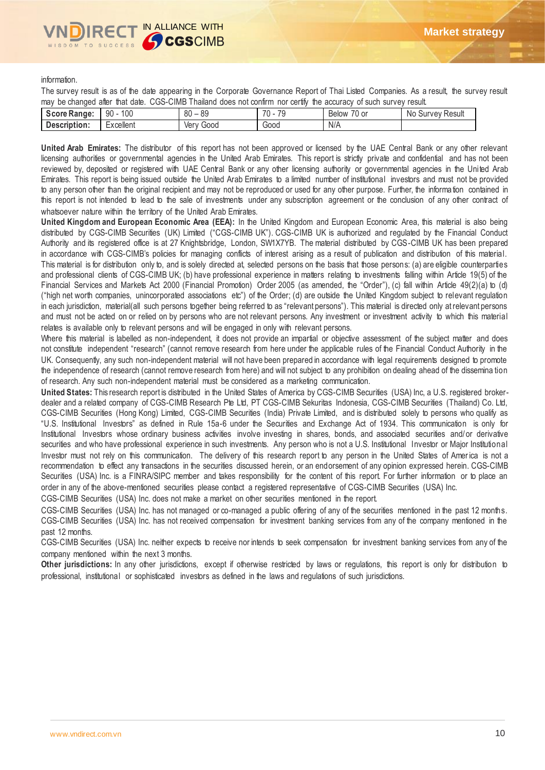#### information.

The survey result is as of the date appearing in the Corporate Governance Report of Thai Listed Companies. As a result, the survey result may be changed after that date. CGS-CIMB Thailand does not confirm nor certify the accuracy of such survey result.

| Score Range: | 100<br>$\Omega$<br>ิ่วบ | 89<br>$\circ$<br>ou | $\overline{\phantom{a}}$<br>70<br>. La | $\overline{\phantom{0}}$<br>$\overline{\phantom{a}}$<br>0 or<br>Below | Result<br>No.<br>~vev<br>Sur |
|--------------|-------------------------|---------------------|----------------------------------------|-----------------------------------------------------------------------|------------------------------|
| Description: | :xcellent               | Good<br>Verv        | Good                                   | N/A                                                                   |                              |

**United Arab Emirates:** The distributor of this report has not been approved or licensed by the UAE Central Bank or any other relevant licensing authorities or governmental agencies in the United Arab Emirates. This report is strictly private and confidential and has not been reviewed by, deposited or registered with UAE Central Bank or any other licensing authority or governmental agencies in the United Arab Emirates. This report is being issued outside the United Arab Emirates to a limited number of institutional investors and must not be provided to any person other than the original recipient and may not be reproduced or used for any other purpose. Further, the information contained in this report is not intended to lead to the sale of investments under any subscription agreement or the conclusion of any other contract of whatsoever nature within the territory of the United Arab Emirates.

**United Kingdom and European Economic Area (EEA):** In the United Kingdom and European Economic Area, this material is also being distributed by CGS-CIMB Securities (UK) Limited ("CGS-CIMB UK"). CGS-CIMB UK is authorized and regulated by the Financial Conduct Authority and its registered office is at 27 Knightsbridge, London, SW1X7YB. The material distributed by CGS-CIMB UK has been prepared in accordance with CGS-CIMB's policies for managing conflicts of interest arising as a result of publication and distribution of this material. This material is for distribution only to, and is solely directed at, selected persons on the basis that those persons: (a) are eligible counterparties and professional clients of CGS-CIMB UK; (b) have professional experience in matters relating to investments falling within Article 19(5) of the Financial Services and Markets Act 2000 (Financial Promotion) Order 2005 (as amended, the "Order"), (c) fall within Article 49(2)(a) to (d) ("high net worth companies, unincorporated associations etc") of the Order; (d) are outside the United Kingdom subject to relevant regulation in each jurisdiction, material(all such persons together being referred to as "relevant persons"). This material is directed only at relevant persons and must not be acted on or relied on by persons who are not relevant persons. Any investment or investment activity to which this material relates is available only to relevant persons and will be engaged in only with relevant persons.

Where this material is labelled as non-independent, it does not provide an impartial or objective assessment of the subject matter and does not constitute independent "research" (cannot remove research from here under the applicable rules of the Financial Conduct Authority in the UK. Consequently, any such non-independent material will not have been prepared in accordance with legal requirements designed to promote the independence of research (cannot remove research from here) and will not subject to any prohibition on dealing ahead of the dissemina tion of research. Any such non-independent material must be considered as a marketing communication.

**United States:** This research report is distributed in the United States of America by CGS-CIMB Securities (USA) Inc, a U.S. registered brokerdealer and a related company of CGS-CIMB Research Pte Ltd, PT CGS-CIMB Sekuritas Indonesia, CGS-CIMB Securities (Thailand) Co. Ltd, CGS-CIMB Securities (Hong Kong) Limited, CGS-CIMB Securities (India) Private Limited, and is distributed solely to persons who qualify as "U.S. Institutional Investors" as defined in Rule 15a-6 under the Securities and Exchange Act of 1934. This communication is only for Institutional Investors whose ordinary business activities involve investing in shares, bonds, and associated securities and/or derivative securities and who have professional experience in such investments. Any person who is not a U.S. Institutional Investor or Major Institutional Investor must not rely on this communication. The delivery of this research report to any person in the United States of America is not a recommendation to effect any transactions in the securities discussed herein, or an endorsement of any opinion expressed herein. CGS-CIMB Securities (USA) Inc. is a FINRA/SIPC member and takes responsibility for the content of this report. For further information or to place an order in any of the above-mentioned securities please contact a registered representative of CGS-CIMB Securities (USA) Inc.

CGS-CIMB Securities (USA) Inc. does not make a market on other securities mentioned in the report.

CGS-CIMB Securities (USA) Inc. has not managed or co-managed a public offering of any of the securities mentioned in the past 12 months. CGS-CIMB Securities (USA) Inc. has not received compensation for investment banking services from any of the company mentioned in the past 12 months.

CGS-CIMB Securities (USA) Inc. neither expects to receive nor intends to seek compensation for investment banking services from any of the company mentioned within the next 3 months.

Other jurisdictions: In any other jurisdictions, except if otherwise restricted by laws or regulations, this report is only for distribution to professional, institutional or sophisticated investors as defined in the laws and regulations of such jurisdictions.